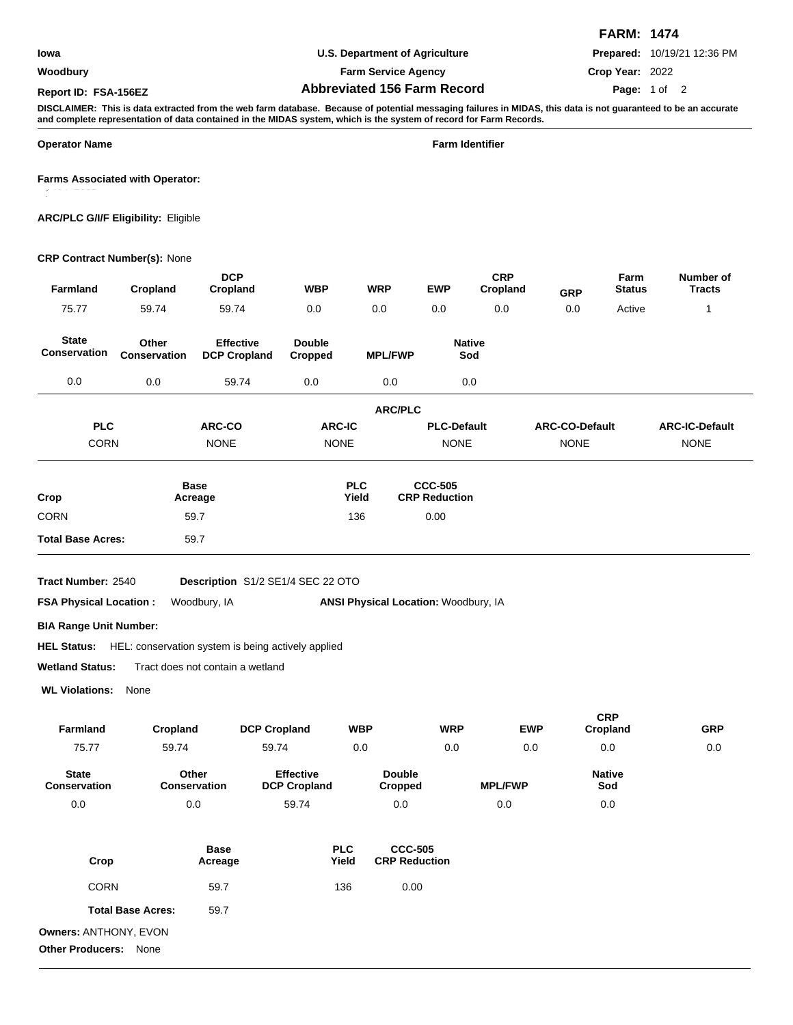#### **Woodbury**

# **U.S. Department of Agriculture**

**Farm Service Agency**

## **Abbreviated 156 Farm Record Report ID: FSA-156EZ Page:**

**FARM: 1474 Prepared:** 10/19/21 12:36 PM

**Crop Year:** 2022

### Page: 1 of 2

**DISCLAIMER: This is data extracted from the web farm database. Because of potential messaging failures in MIDAS, this data is not guaranteed to be an accurate and complete representation of data contained in the MIDAS system, which is the system of record for Farm Records.**

**Operator Name Farm Identifier**

**Farms Associated with Operator:**

**ARC/PLC G/I/F Eligibility:** Eligible

#### **CRP Contract Number(s):** None

| Farmland                                        | Cropland                 | <b>DCP</b><br>Cropland                  | <b>WBP</b>                              |                                                               | <b>WRP</b>                      | <b>EWP</b>                             | <b>CRP</b><br>Cropland | <b>GRP</b>            | Farm<br><b>Status</b>  | Number of<br><b>Tracts</b> |
|-------------------------------------------------|--------------------------|-----------------------------------------|-----------------------------------------|---------------------------------------------------------------|---------------------------------|----------------------------------------|------------------------|-----------------------|------------------------|----------------------------|
| 75.77                                           | 59.74                    | 59.74                                   | 0.0                                     |                                                               | 0.0                             | 0.0                                    | 0.0                    | 0.0                   | Active                 | 1                          |
| <b>State</b><br>Conservation                    | Other<br>Conservation    | <b>Effective</b><br><b>DCP Cropland</b> | <b>Double</b><br>Cropped                |                                                               | <b>MPL/FWP</b>                  | <b>Native</b><br>Sod                   |                        |                       |                        |                            |
| 0.0                                             | 0.0                      | 59.74                                   | 0.0                                     |                                                               | 0.0                             | 0.0                                    |                        |                       |                        |                            |
|                                                 |                          |                                         |                                         |                                                               | <b>ARC/PLC</b>                  |                                        |                        |                       |                        |                            |
| <b>PLC</b>                                      |                          | ARC-CO                                  | <b>ARC-IC</b>                           |                                                               |                                 | <b>PLC-Default</b>                     |                        | <b>ARC-CO-Default</b> |                        | <b>ARC-IC-Default</b>      |
| <b>CORN</b>                                     |                          | <b>NONE</b>                             | <b>NONE</b>                             |                                                               |                                 | <b>NONE</b>                            |                        | <b>NONE</b>           |                        | <b>NONE</b>                |
| Crop                                            | <b>Base</b><br>Acreage   |                                         | <b>PLC</b><br>Yield                     |                                                               |                                 | <b>CCC-505</b><br><b>CRP Reduction</b> |                        |                       |                        |                            |
| <b>CORN</b>                                     | 59.7                     |                                         | 136                                     |                                                               |                                 | 0.00                                   |                        |                       |                        |                            |
| <b>Total Base Acres:</b>                        |                          | 59.7                                    |                                         |                                                               |                                 |                                        |                        |                       |                        |                            |
| <b>Wetland Status:</b><br><b>WL Violations:</b> | None                     | Tract does not contain a wetland        |                                         |                                                               |                                 |                                        |                        |                       |                        |                            |
| Farmland                                        | Cropland                 | <b>DCP Cropland</b>                     |                                         | <b>WBP</b>                                                    |                                 | <b>WRP</b>                             |                        | <b>EWP</b>            | <b>CRP</b><br>Cropland | <b>GRP</b>                 |
| 75.77                                           | 59.74                    | 59.74                                   |                                         | 0.0                                                           |                                 | 0.0                                    |                        | 0.0                   | 0.0                    | 0.0                        |
| <b>State</b><br>Conservation                    | Conservation             | Other                                   | <b>Effective</b><br><b>DCP Cropland</b> |                                                               | <b>Double</b><br><b>Cropped</b> |                                        | <b>MPL/FWP</b>         |                       | <b>Native</b><br>Sod   |                            |
| 0.0                                             | 0.0                      |                                         | 59.74                                   |                                                               | 0.0                             |                                        | 0.0                    |                       | 0.0                    |                            |
| Crop                                            | <b>Base</b><br>Acreage   |                                         |                                         | <b>PLC</b><br><b>CCC-505</b><br><b>CRP Reduction</b><br>Yield |                                 |                                        |                        |                       |                        |                            |
| CORN                                            | 59.7                     |                                         |                                         | 0.00<br>136                                                   |                                 |                                        |                        |                       |                        |                            |
|                                                 | <b>Total Base Acres:</b> | 59.7                                    |                                         |                                                               |                                 |                                        |                        |                       |                        |                            |
| Owners: ANTHONY, EVON                           |                          |                                         |                                         |                                                               |                                 |                                        |                        |                       |                        |                            |
| Other Producers: None                           |                          |                                         |                                         |                                                               |                                 |                                        |                        |                       |                        |                            |